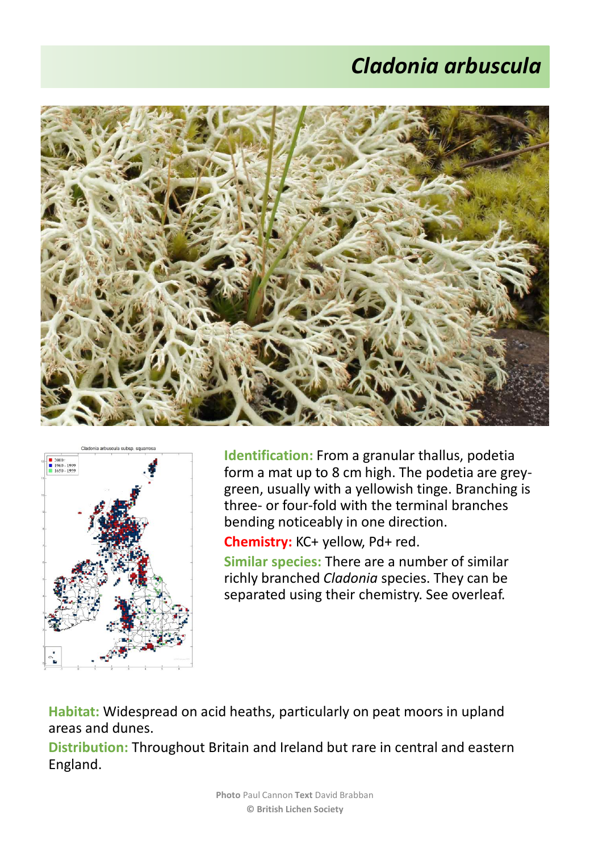## *Cladonia arbuscula*





**Identification:** From a granular thallus, podetia form a mat up to 8 cm high. The podetia are greygreen, usually with a yellowish tinge. Branching is three- or four-fold with the terminal branches bending noticeably in one direction.

**Chemistry:** KC+ yellow, Pd+ red.

**Similar species:** There are a number of similar richly branched *Cladonia* species. They can be separated using their chemistry. See overleaf.

**Habitat:** Widespread on acid heaths, particularly on peat moors in upland areas and dunes.

**Distribution:** Throughout Britain and Ireland but rare in central and eastern England.